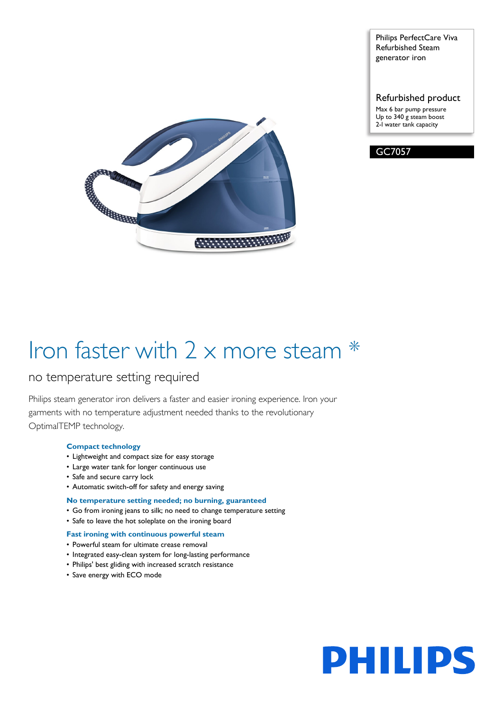

Philips PerfectCare Viva Refurbished Steam generator iron

Refurbished product Max 6 bar pump pressure Up to 340 g steam boost 2-l water tank capacity



# Iron faster with 2 x more steam \*

# no temperature setting required

Philips steam generator iron delivers a faster and easier ironing experience. Iron your garments with no temperature adjustment needed thanks to the revolutionary OptimalTEMP technology.

## **Compact technology**

- Lightweight and compact size for easy storage
- Large water tank for longer continuous use
- Safe and secure carry lock
- Automatic switch-off for safety and energy saving

## **No temperature setting needed; no burning, guaranteed**

- Go from ironing jeans to silk; no need to change temperature setting
- Safe to leave the hot soleplate on the ironing board

## **Fast ironing with continuous powerful steam**

- Powerful steam for ultimate crease removal
- Integrated easy-clean system for long-lasting performance
- Philips' best gliding with increased scratch resistance
- Save energy with ECO mode

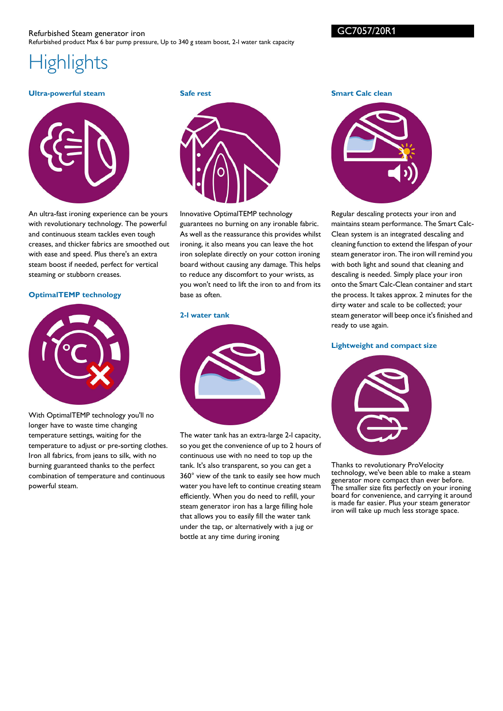GC7057/20R1

**Smart Calc clean**

# **Highlights**

#### **Ultra-powerful steam**



An ultra-fast ironing experience can be yours with revolutionary technology. The powerful and continuous steam tackles even tough creases, and thicker fabrics are smoothed out with ease and speed. Plus there's an extra steam boost if needed, perfect for vertical steaming or stubborn creases.

#### **OptimalTEMP technology**



With OptimalTEMP technology you'll no longer have to waste time changing temperature settings, waiting for the temperature to adjust or pre-sorting clothes. Iron all fabrics, from jeans to silk, with no burning guaranteed thanks to the perfect combination of temperature and continuous powerful steam.

**Safe rest**



Innovative OptimalTEMP technology guarantees no burning on any ironable fabric. As well as the reassurance this provides whilst ironing, it also means you can leave the hot iron soleplate directly on your cotton ironing board without causing any damage. This helps to reduce any discomfort to your wrists, as you won't need to lift the iron to and from its base as often.

#### **2-l water tank**



The water tank has an extra-large 2-l capacity, so you get the convenience of up to 2 hours of continuous use with no need to top up the tank. It's also transparent, so you can get a 360° view of the tank to easily see how much water you have left to continue creating steam efficiently. When you do need to refill, your steam generator iron has a large filling hole that allows you to easily fill the water tank under the tap, or alternatively with a jug or bottle at any time during ironing



Regular descaling protects your iron and maintains steam performance. The Smart Calc-Clean system is an integrated descaling and cleaning function to extend the lifespan of your steam generator iron. The iron will remind you with both light and sound that cleaning and descaling is needed. Simply place your iron onto the Smart Calc-Clean container and start the process. It takes approx. 2 minutes for the dirty water and scale to be collected; your steam generator will beep once it's finished and ready to use again.

#### **Lightweight and compact size**



Thanks to revolutionary ProVelocity technology, we've been able to make a steam generator more compact than ever before. The smaller size fits perfectly on your ironing board for convenience, and carrying it around is made far easier. Plus your steam generator iron will take up much less storage space.